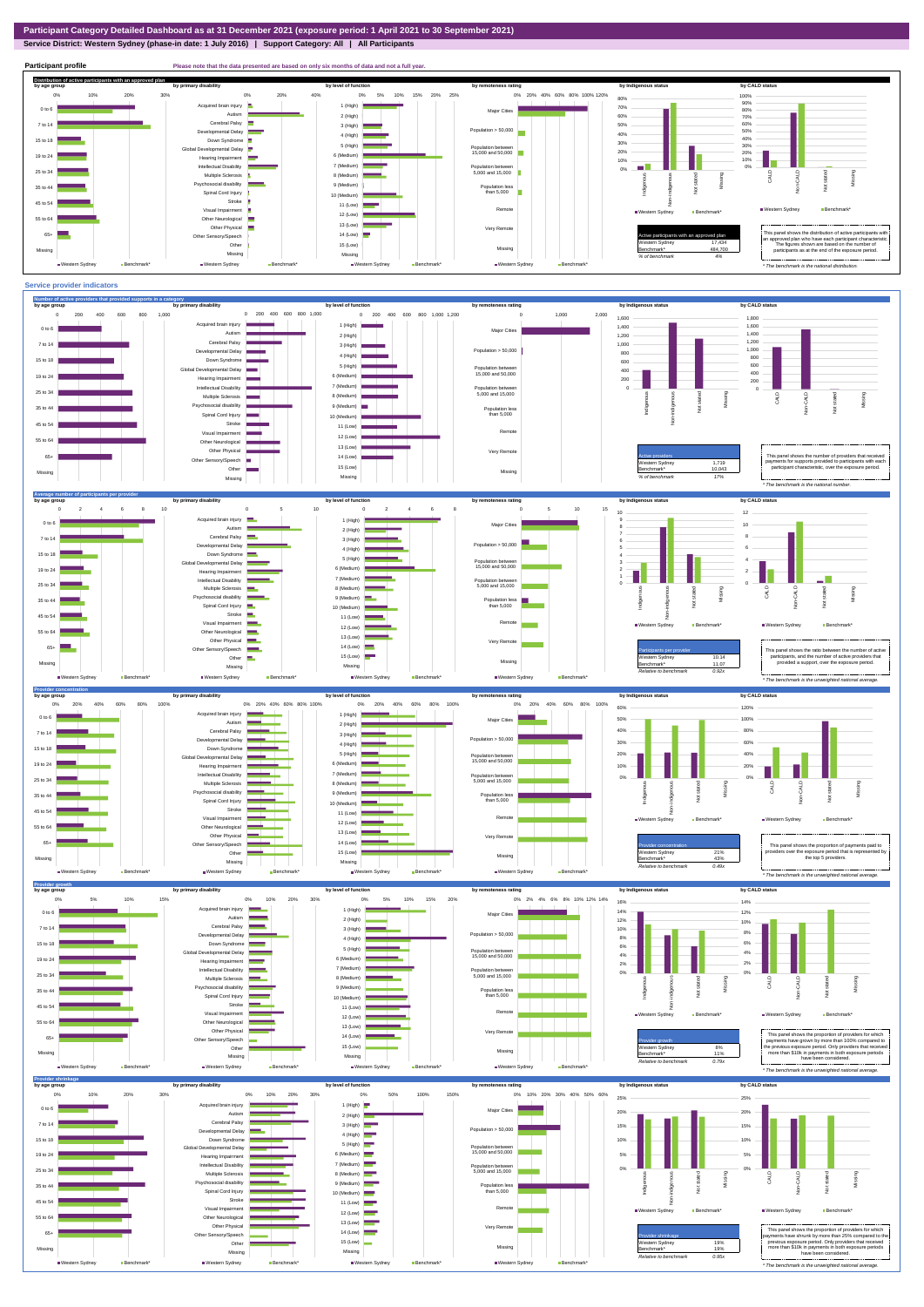## **Service District: Western Sydney (phase-in date: 1 July 2016) | Support Category: All | All Participants**



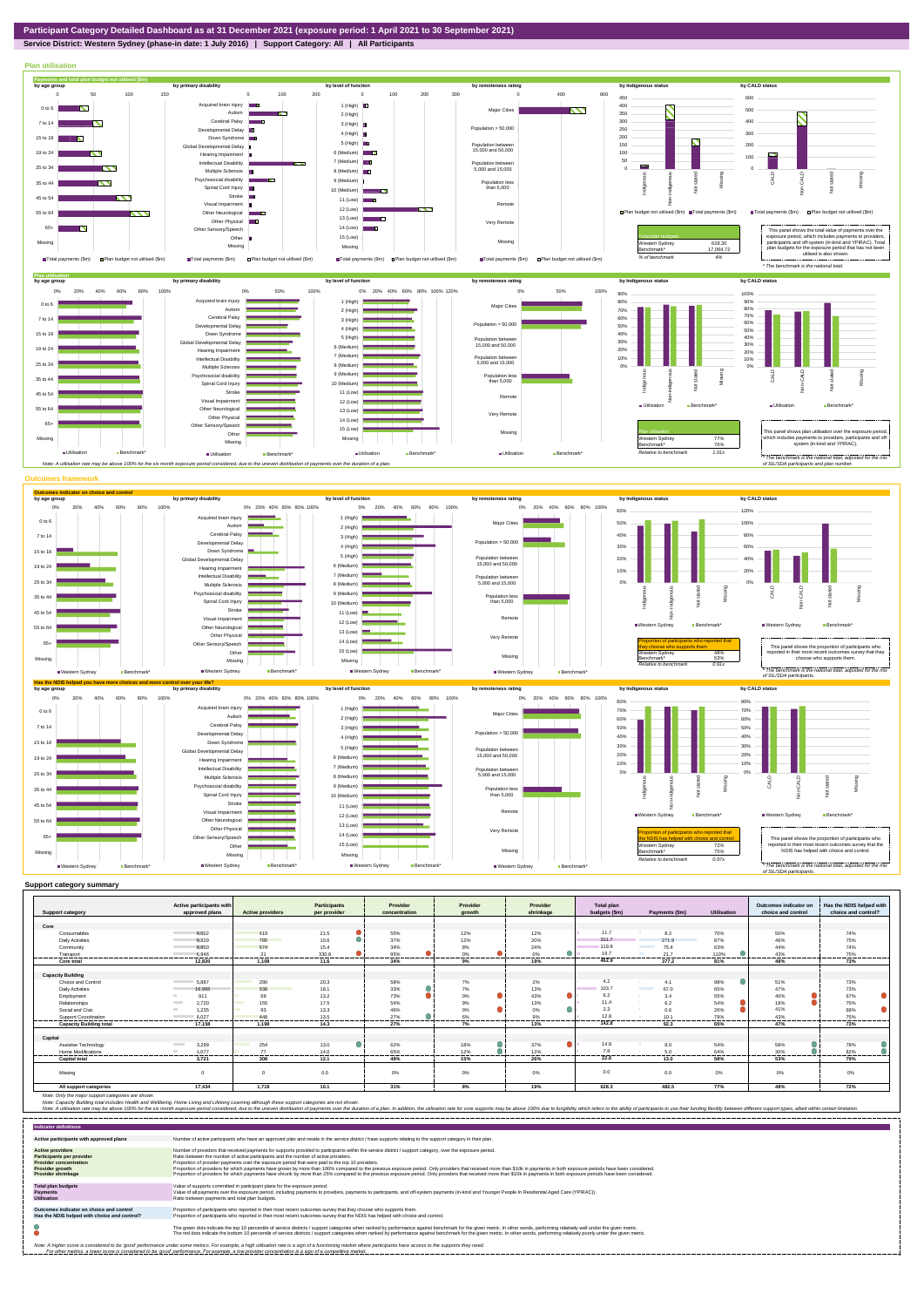## **Service District: Western Sydney (phase-in date: 1 July 2016) | Support Category: All | All Participants**



|                                | Active participants with          |                                 | <b>Participants</b> | Provider      | Provider     | Provider  | <b>Total plan</b> |                                         | Outcomes indicator on | Has the NDIS helped with |
|--------------------------------|-----------------------------------|---------------------------------|---------------------|---------------|--------------|-----------|-------------------|-----------------------------------------|-----------------------|--------------------------|
| <b>Support category</b>        | approved plans                    | <b>Active providers</b>         | per provider        | concentration | growth       | shrinkage | budgets (\$m)     | Payments (\$m)<br><b>Utilisation</b>    | choice and control    | choice and control?      |
| Core                           |                                   |                                 |                     |               |              |           |                   |                                         |                       |                          |
|                                |                                   | 419                             |                     |               |              |           | 11.7              | 70%                                     |                       |                          |
| Consumables                    | 9.022                             |                                 | 21.5                | 55%           | 12%          | 12%       | 311.7             | 8.2                                     | 50%                   | 74%                      |
| <b>Daily Activities</b>        | 8,329                             | 785                             | 10.6                | 37%           | 12%          | 20%       |                   | 271.9<br>87%                            | 46%                   | 75%                      |
| Community                      | 8.850                             | 574                             | 15.4                | 34%           | 8%           | 24%       | 119.8             | 75.4<br>63%                             | 44%                   | 74%                      |
| Transport<br>-----------       | 6.946<br>.                        | 21<br>.                         | 330.8<br>.<br>.     | 95%<br>.      | 0%<br>.<br>. | 0%<br>.   | 19.7              | 21.7<br>110%<br>.<br>.                  | 43%<br>--------       | 75%<br>.                 |
| Core total                     | 12.820                            | 1,108                           | 11.6                | 34%           | 9%           | 19%       | 462.9             | 377.2<br>81%                            | 48%                   | 73%                      |
|                                |                                   |                                 |                     |               |              |           |                   |                                         |                       |                          |
| <b>Capacity Building</b>       |                                   |                                 |                     |               |              |           |                   |                                         |                       |                          |
| Choice and Control             | 5.887                             | 290                             | 20.3                | 58%           | 7%           | 2%        | 4.2               | 98%<br>4.1                              | 51%                   | 73%                      |
| <b>Daily Activities</b>        | 16.965                            | 938<br><b>Contract</b>          | 18.1                | 33%           | 7%           | 13%       | 103.7             | <b>Contract Contract</b><br>67.0<br>65% | 47%                   | 73%                      |
| Employment                     | 911                               | 69                              | 13.2                | 73%           | $0\%$        | 43%       | 6.2               | 55%<br>3.4                              | 40%                   | 67%                      |
| Relationships                  | 2,720                             | 155                             | 17.5                | 54%           | 9%           | 13%       | 11.4              | 6.2<br>54%                              | 18%                   | 75%                      |
| Social and Civic               | 1,235<br><b>COL</b>               | 93                              | 13.3                | 46%           | 0%           | 0%        | 2.3               | 26%<br>0.6                              | 41%                   | 68%                      |
| Support Coordination           | 6.027                             | 448                             | 13.5                | 27%           | 6%           | 9%        | 12.8              | 79%<br>10.1                             | 43%                   | 75%                      |
| <b>Capacity Building total</b> | 17.158                            | 1,198                           | 14.3                | 27%           | 7%           | 13%       | 142.8             | 92.3<br>65%                             | 47%                   | 73%                      |
|                                |                                   |                                 |                     |               |              |           |                   |                                         |                       |                          |
| Capital                        |                                   |                                 |                     |               |              |           |                   |                                         |                       |                          |
| Assistive Technology           | 3,299<br><b>Contract Contract</b> | 254<br><b>Contract Contract</b> | 13.0                | 62%           | 18%          | 37%       | 14.8              | 8.0<br>54%                              | 58%                   | 78%                      |
| Home Modifications             | 1.077                             | 77                              | 14.0                | 65%           | 12%          | 12%       | 7.8               | 5.0<br>64%                              | 30%                   | 82%                      |
| <b>Capital total</b>           | 3.721                             | 308                             | ------<br>12.1      | 48%           | 15%          | .<br>26%  | 22.6              | 13.0<br>58%                             | 53%                   | 79%                      |
|                                |                                   |                                 |                     |               |              |           |                   |                                         |                       |                          |
| Missing                        | $\Omega$                          |                                 | 0.0                 | 0%            | $0\%$        | 0%        | 0.0               | 0.0<br>0%                               | 0%                    | 0%                       |
|                                |                                   |                                 |                     |               |              |           |                   |                                         |                       |                          |
| All support categories         | 17,434                            | 1,719                           | 10.1                | 31%           | 8%           | 19%       | 628.3             | 482.5<br>77%                            | 48%                   | 72%                      |

Note: Only the major support categories are shown.<br>Note: Capacity Building total individual Wellbeing, Home Living and Lifelong Learning although these support categories are not shown.<br>Note: A utilisation rate may be abov

| <b>Indicator definitions</b>                                                                                                                        |                                                                                                                                                                                                                                                                                                                                                                                                                                                                                                                                                                                                                                                                                                                                                                                                                 |
|-----------------------------------------------------------------------------------------------------------------------------------------------------|-----------------------------------------------------------------------------------------------------------------------------------------------------------------------------------------------------------------------------------------------------------------------------------------------------------------------------------------------------------------------------------------------------------------------------------------------------------------------------------------------------------------------------------------------------------------------------------------------------------------------------------------------------------------------------------------------------------------------------------------------------------------------------------------------------------------|
| Active participants with approved plans                                                                                                             | Number of active participants who have an approved plan and reside in the service district / have supports relating to the support category in their plan.                                                                                                                                                                                                                                                                                                                                                                                                                                                                                                                                                                                                                                                      |
| <b>Active providers</b><br><b>Participants per provider</b><br><b>Provider concentration</b><br><b>Provider growth</b><br><b>Provider shrinkage</b> | Number of providers that received payments for supports provided to participants within the service district / support category, over the exposure period.<br>Ratio between the number of active participants and the number of active providers.<br>Proportion of provider payments over the exposure period that were paid to the top 10 providers.<br>Proportion of providers for which payments have grown by more than 100% compared to the previous exposure period. Only providers that received more than \$10k in payments in both exposure periods have been considered.<br>Proportion of providers for which payments have shrunk by more than 25% compared to the previous exposure period. Only providers that received more than \$10k in payments in both exposure periods have been considered. |
| <b>Total plan budgets</b><br><b>Payments</b><br><b>Utilisation</b>                                                                                  | Value of supports committed in participant plans for the exposure period.<br>Value of all payments over the exposure period, including payments to providers, payments to participants, and off-system payments (in-kind and Younger People In Residential Aged Care (YPIRAC)).<br>Ratio between payments and total plan budgets.                                                                                                                                                                                                                                                                                                                                                                                                                                                                               |
| Outcomes indicator on choice and control<br>Has the NDIS helped with choice and control?                                                            | Proportion of participants who reported in their most recent outcomes survey that they choose who supports them.<br>Proportion of participants who reported in their most recent outcomes survey that the NDIS has helped with choice and control.                                                                                                                                                                                                                                                                                                                                                                                                                                                                                                                                                              |
|                                                                                                                                                     | The green dots indicate the top 10 percentile of service districts / support categories when ranked by performance against benchmark for the given metric. In other words, performing relatively well under the given metric.<br>The red dots indicate the bottom 10 percentile of service districts / support categories when ranked by performance against benchmark for the given metric. In other words, performing relatively poorly under the given metri                                                                                                                                                                                                                                                                                                                                                 |
|                                                                                                                                                     | Note: A higher score is considered to be 'good' performance under some metrics. For example, a high utilisation rate is a sign of a functioning market where participants have access to the supports they need.<br>For other metrics, a lower score is considered to be 'good' performance. For example, a low provider concentration is a sign of a competitive market.                                                                                                                                                                                                                                                                                                                                                                                                                                       |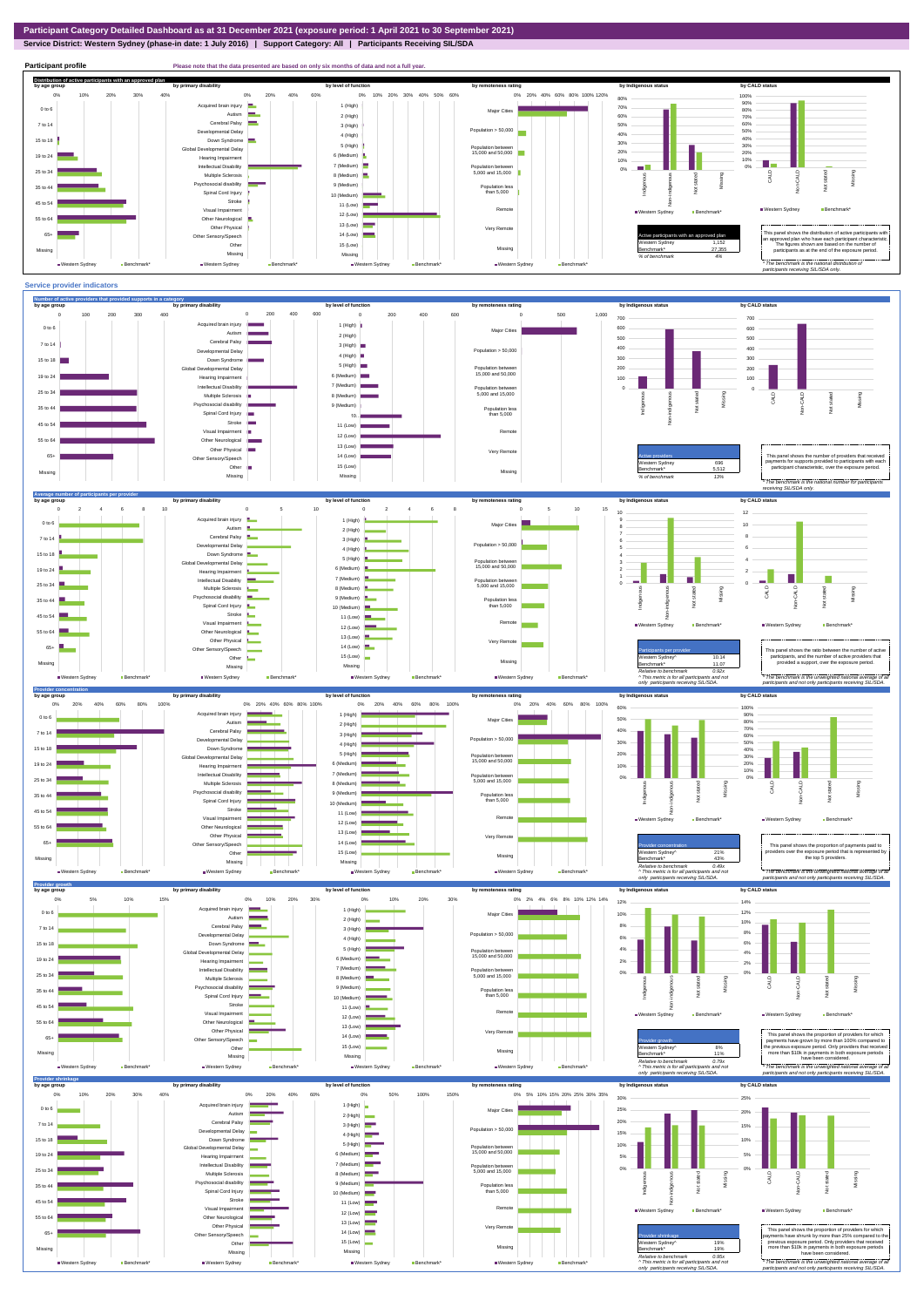**Service District: Western Sydney (phase-in date: 1 July 2016) | Support Category: All | Participants Receiving SIL/SDA**



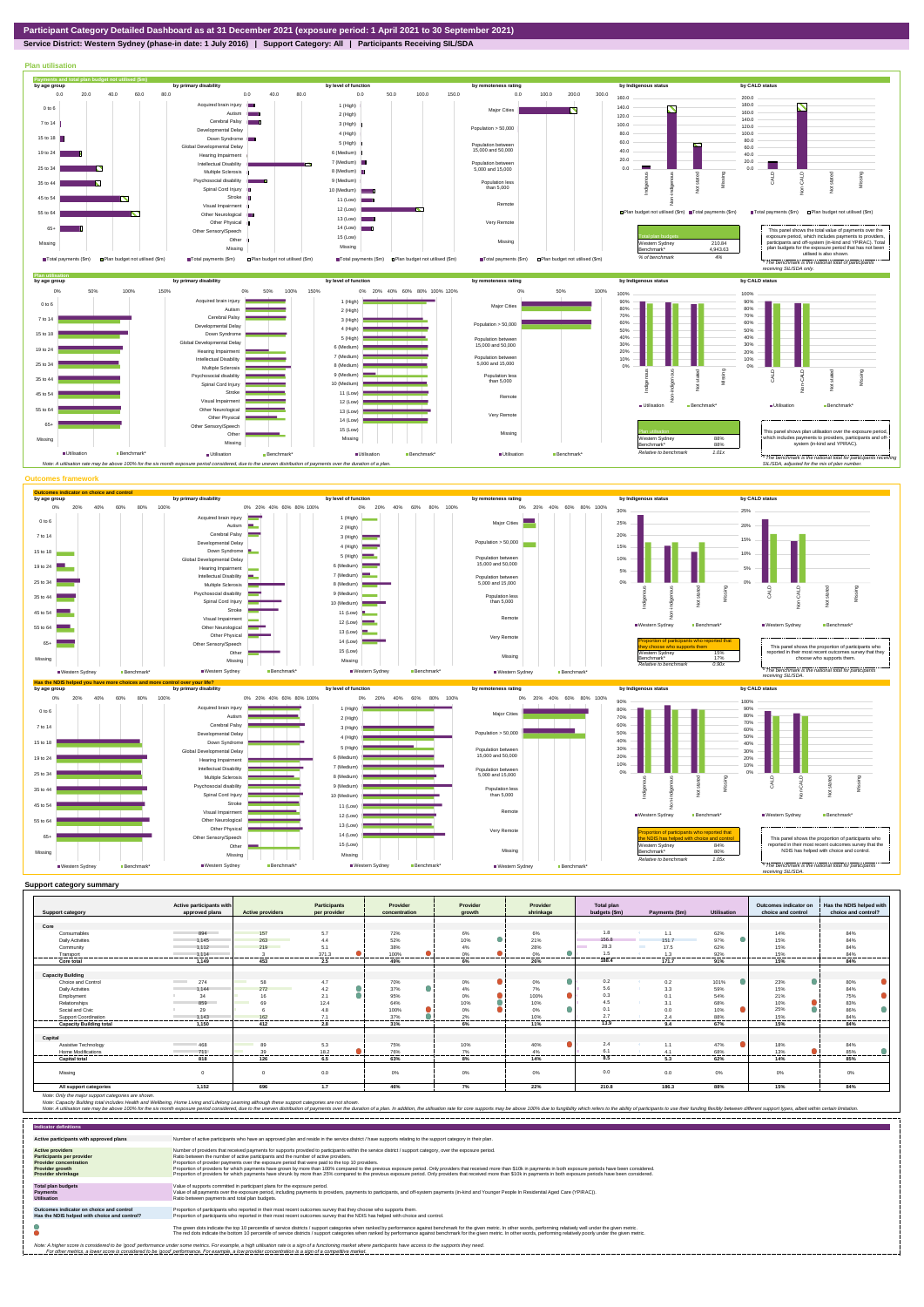

**Service District: Western Sydney (phase-in date: 1 July 2016) | Support Category: All | Participants Receiving SIL/SDA**



|                                | Active participants with        |                         | Participants     | Provider       | Provider      | Provider          | Total plan    |                        |               | Outcomes indicator on | Has the NDIS helped with |
|--------------------------------|---------------------------------|-------------------------|------------------|----------------|---------------|-------------------|---------------|------------------------|---------------|-----------------------|--------------------------|
| <b>Support category</b>        | approved plans                  | <b>Active providers</b> | per provider     | concentration  | growth        | shrinkage         | budgets (\$m) | Payments (\$m)         | Utilisation   | choice and control    | choice and control?      |
|                                |                                 |                         |                  |                |               |                   |               |                        |               |                       |                          |
| Core                           |                                 |                         |                  |                |               |                   | 1.8           |                        |               |                       |                          |
| Consumables                    | 894                             | 157                     | 5.7              | 72%            | 6%            | 6%                |               | 1.1                    | 62%           | 14%                   | 84%                      |
| <b>Daily Activities</b>        | 1.145                           | 263                     | 4.4              | 52%            | 10%           | 21%               | 156.8         | 151.7                  | 97%           | 15%                   | 84%                      |
| Community                      | 1.112                           | 219                     | 5.1              | 38%            | 4%            | 28%               | 28.3          | <b>COLLEGE</b><br>17.5 | 62%           | 15%                   | 84%                      |
| Transport                      | 1.114                           | .                       | 371.3<br>------- | 100%<br>.      | 0%<br>        | 0%                | 1.5<br>       | 1.3                    | 92%           | 15%<br>               | 84%<br>------            |
| <b>Core total</b>              | 1.149                           | 453                     | 2.5              | 49%            | 6%            | 26%               | 188.4         | 171.7                  | 91%           | 15%                   | 84%                      |
|                                |                                 |                         |                  |                |               |                   |               |                        |               |                       |                          |
| <b>Capacity Building</b>       |                                 |                         |                  |                |               |                   |               |                        |               |                       |                          |
| Choice and Control             | <b>Contract Contract</b><br>274 | 58<br>a a s             | 4.7              | 70%            | 0%            | 0%                | 0.2           | 0.2                    | 101%          | 23%<br>$\blacksquare$ | 80%                      |
| <b>Daily Activities</b>        | 1.144                           | 272                     | 4.2              | 37%            | 4%            | 7%                | 5.6           | 3.3                    | 59%           | 15%                   | 84%                      |
| Employment                     | 34                              | 16                      | 2.1              | 95%            | 0%            | $\bullet$<br>100% | 0.3           | 0.1                    | 54%           | 21%                   | 75%                      |
| Relationships                  | 859                             | 69                      | 12.4             | 64%            | 10%           | 10%               | 4.5           | 3.1                    | 68%           | 10%                   | 83%                      |
| Social and Civic               | 29                              |                         | 4.8              | 100%           | 0%            | 0%                | 0.1           | 0 <sub>0</sub>         | 10%           | 25%                   | ●<br>86%                 |
| Support Coordination           | 1.143                           | 162<br>-----            | 7.1<br>.         | 37%<br>------- | 2%<br>------- | 10%               | 27            | 24                     | 88%<br>------ | 15%<br>-------        | 84%<br>--------          |
| <b>Capacity Building total</b> | 1.150                           | 412                     | 2.8              | 31%            | 6%            | 11%               | 13.9          | 9.4                    | 67%           | 15%                   | 84%                      |
|                                |                                 |                         |                  |                |               |                   |               |                        |               |                       |                          |
| Capital                        |                                 |                         |                  |                |               |                   |               |                        |               |                       |                          |
| Assistive Technology           | 468                             | 89                      | 5.3              | 75%            | 10%           | 40%               | 2.4           | 1.1                    | 47%           | 18%                   | 84%                      |
| <b>Home Modifications</b>      | 711                             | 39                      | 18.2             | 76%            | 7%            | 4%                | 6.1           | 4.1                    | 68%           | 13%                   | 85%                      |
| <b>Capital total</b>           | 818                             | 126                     | 6.5              | 63%            | 8%            | 14%               | 8.5           | 5.3                    | 62%           | 14%                   | 85%                      |
| Missing                        |                                 |                         | 0.0              | 0%             | 0%            | 0%                | 0.0           | 0.0                    | $0\%$         | 0%                    | 0%                       |
| All support categories         | 1,152                           | 696                     | 1.7              | 46%            | 7%            | 22%               | 210.8         | 186.3                  | 88%           | 15%                   | 84%                      |

Note: Only the major support categories are shown.<br>Note: Capacity Building total individual Wellbeing, Home Living and Lifelong Learning although these support categories are not shown.<br>Note: A utilisation rate may be abov

| <b>Indicator definitions</b>                                                                                                                                                                                                                                                                                                                                              |                                                                                                                                                                                                                                                                                                                                                                                                                                                                                                                                                                                                                                                                                                                                                                                                                 |  |  |  |  |
|---------------------------------------------------------------------------------------------------------------------------------------------------------------------------------------------------------------------------------------------------------------------------------------------------------------------------------------------------------------------------|-----------------------------------------------------------------------------------------------------------------------------------------------------------------------------------------------------------------------------------------------------------------------------------------------------------------------------------------------------------------------------------------------------------------------------------------------------------------------------------------------------------------------------------------------------------------------------------------------------------------------------------------------------------------------------------------------------------------------------------------------------------------------------------------------------------------|--|--|--|--|
| Active participants with approved plans                                                                                                                                                                                                                                                                                                                                   | Number of active participants who have an approved plan and reside in the service district / have supports relating to the support category in their plan.                                                                                                                                                                                                                                                                                                                                                                                                                                                                                                                                                                                                                                                      |  |  |  |  |
| <b>Active providers</b><br><b>Participants per provider</b><br><b>Provider concentration</b><br><b>Provider growth</b><br><b>Provider shrinkage</b>                                                                                                                                                                                                                       | Number of providers that received payments for supports provided to participants within the service district / support category, over the exposure period.<br>Ratio between the number of active participants and the number of active providers.<br>Proportion of provider payments over the exposure period that were paid to the top 10 providers.<br>Proportion of providers for which payments have grown by more than 100% compared to the previous exposure period. Only providers that received more than \$10k in payments in both exposure periods have been considered.<br>Proportion of providers for which payments have shrunk by more than 25% compared to the previous exposure period. Only providers that received more than \$10k in payments in both exposure periods have been considered. |  |  |  |  |
| <b>Total plan budgets</b><br><b>Payments</b><br><b>Utilisation</b>                                                                                                                                                                                                                                                                                                        | Value of supports committed in participant plans for the exposure period.<br>Value of all payments over the exposure period, including payments to providers, payments to participants, and off-system payments (in-kind and Younger People In Residential Aged Care (YPIRAC)).<br>Ratio between payments and total plan budgets.                                                                                                                                                                                                                                                                                                                                                                                                                                                                               |  |  |  |  |
| Outcomes indicator on choice and control<br>Has the NDIS helped with choice and control?                                                                                                                                                                                                                                                                                  | Proportion of participants who reported in their most recent outcomes survey that they choose who supports them.<br>Proportion of participants who reported in their most recent outcomes survey that the NDIS has helped with choice and control.                                                                                                                                                                                                                                                                                                                                                                                                                                                                                                                                                              |  |  |  |  |
|                                                                                                                                                                                                                                                                                                                                                                           | The green dots indicate the top 10 percentile of service districts / support categories when ranked by performance against benchmark for the given metric. In other words, performing relatively well under the given metric.<br>The red dots indicate the bottom 10 percentile of service districts / support categories when ranked by performance against benchmark for the given metric. In other words, performing relatively poorly under the given metri                                                                                                                                                                                                                                                                                                                                                 |  |  |  |  |
| Note: A higher score is considered to be 'good' performance under some metrics. For example, a high utilisation rate is a sign of a functioning market where participants have access to the supports they need.<br>For other metrics, a lower score is considered to be 'good' performance. For example, a low provider concentration is a sign of a competitive market. |                                                                                                                                                                                                                                                                                                                                                                                                                                                                                                                                                                                                                                                                                                                                                                                                                 |  |  |  |  |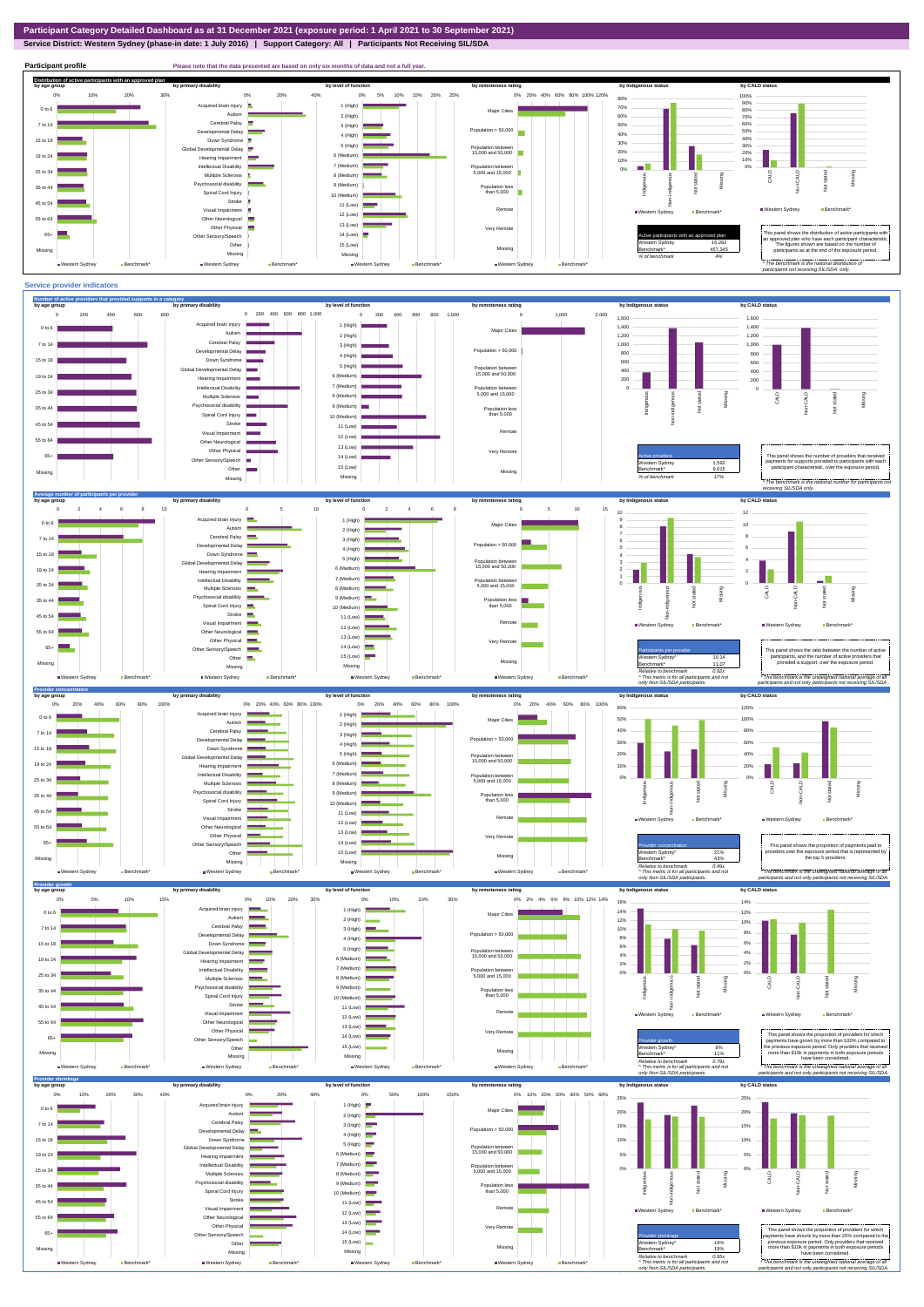## **Service District: Western Sydney (phase-in date: 1 July 2016) | Support Category: All | Participants Not Receiving SIL/SDA**

**Participant profile Please note that the data presented are based on only six months of data and not a full year.**